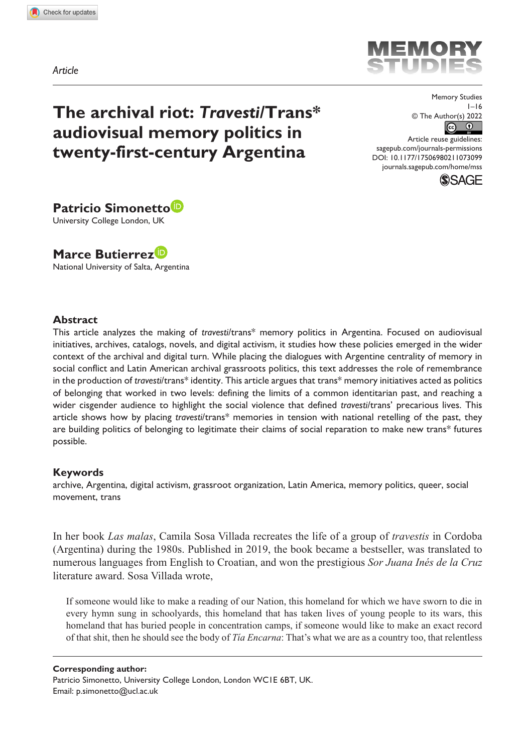*Article*

# **The archival riot:** *Travesti***/Trans\* audiovisual memory politics in twenty-first-century Argentina**

© The Author(s) 2022  $\boxed{6}$ 

MEM

DOI: 10.1177/17506980211073099 Article reuse guidelines: [sagepub.com/journals-permissions](https://uk.sagepub.com/en-gb/journals-permissions) [journals.sagepub.com/home/mss](https://journals.sagepub.com/home/mss)



Memory Studies  $1 - 16$ 

**Patricio Simonetto** University College London, UK

**Marce Butierrez** National University of Salta, Argentina

## **Abstract**

This article analyzes the making of *travesti*/trans\* memory politics in Argentina. Focused on audiovisual initiatives, archives, catalogs, novels, and digital activism, it studies how these policies emerged in the wider context of the archival and digital turn. While placing the dialogues with Argentine centrality of memory in social conflict and Latin American archival grassroots politics, this text addresses the role of remembrance in the production of *travesti*/trans\* identity. This article argues that trans\* memory initiatives acted as politics of belonging that worked in two levels: defining the limits of a common identitarian past, and reaching a wider cisgender audience to highlight the social violence that defined *travesti*/trans' precarious lives. This article shows how by placing *travesti*/trans\* memories in tension with national retelling of the past, they are building politics of belonging to legitimate their claims of social reparation to make new trans\* futures possible.

#### **Keywords**

archive, Argentina, digital activism, grassroot organization, Latin America, memory politics, queer, social movement, trans

In her book *Las malas*, Camila Sosa Villada recreates the life of a group of *travestis* in Cordoba (Argentina) during the 1980s. Published in 2019, the book became a bestseller, was translated to numerous languages from English to Croatian, and won the prestigious *Sor Juana Inés de la Cruz* literature award. Sosa Villada wrote,

If someone would like to make a reading of our Nation, this homeland for which we have sworn to die in every hymn sung in schoolyards, this homeland that has taken lives of young people to its wars, this homeland that has buried people in concentration camps, if someone would like to make an exact record of that shit, then he should see the body of *Tía Encarna*: That's what we are as a country too, that relentless

#### **Corresponding author:**

Patricio Simonetto, University College London, London WC1E 6BT, UK. Email: [p.simonetto@ucl.ac.uk](mailto:p.simonetto@ucl.ac.uk)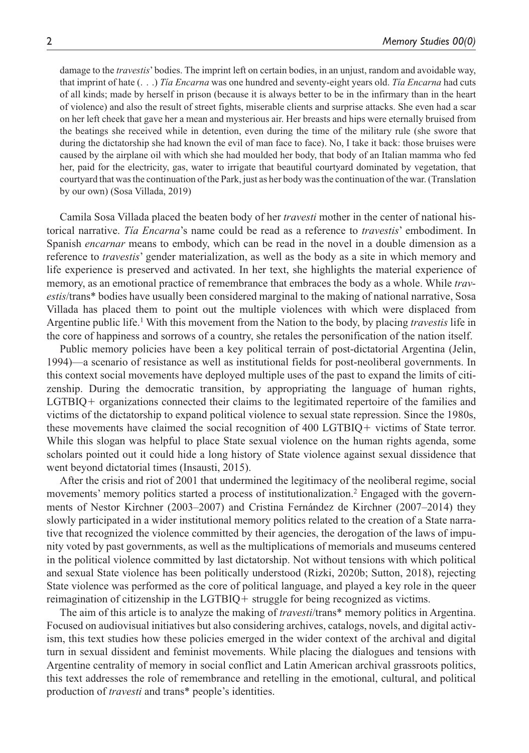damage to the *travestis*' bodies. The imprint left on certain bodies, in an unjust, random and avoidable way, that imprint of hate (. . .) *Tía Encarna* was one hundred and seventy-eight years old. *Tía Encarna* had cuts of all kinds; made by herself in prison (because it is always better to be in the infirmary than in the heart of violence) and also the result of street fights, miserable clients and surprise attacks. She even had a scar on her left cheek that gave her a mean and mysterious air. Her breasts and hips were eternally bruised from the beatings she received while in detention, even during the time of the military rule (she swore that during the dictatorship she had known the evil of man face to face). No, I take it back: those bruises were caused by the airplane oil with which she had moulded her body, that body of an Italian mamma who fed her, paid for the electricity, gas, water to irrigate that beautiful courtyard dominated by vegetation, that courtyard that was the continuation of the Park, just as her body was the continuation of the war. (Translation by our own) (Sosa Villada, 2019)

Camila Sosa Villada placed the beaten body of her *travesti* mother in the center of national historical narrative. *Tía Encarna*'s name could be read as a reference to *travestis*' embodiment. In Spanish *encarnar* means to embody, which can be read in the novel in a double dimension as a reference to *travestis*' gender materialization, as well as the body as a site in which memory and life experience is preserved and activated. In her text, she highlights the material experience of memory, as an emotional practice of remembrance that embraces the body as a whole. While *travestis*/trans\* bodies have usually been considered marginal to the making of national narrative, Sosa Villada has placed them to point out the multiple violences with which were displaced from Argentine public life.<sup>1</sup> With this movement from the Nation to the body, by placing *travestis* life in the core of happiness and sorrows of a country, she retales the personification of the nation itself.

Public memory policies have been a key political terrain of post-dictatorial Argentina (Jelin, 1994)—a scenario of resistance as well as institutional fields for post-neoliberal governments. In this context social movements have deployed multiple uses of the past to expand the limits of citizenship. During the democratic transition, by appropriating the language of human rights, LGTBIQ+ organizations connected their claims to the legitimated repertoire of the families and victims of the dictatorship to expand political violence to sexual state repression. Since the 1980s, these movements have claimed the social recognition of 400 LGTBIQ+ victims of State terror. While this slogan was helpful to place State sexual violence on the human rights agenda, some scholars pointed out it could hide a long history of State violence against sexual dissidence that went beyond dictatorial times (Insausti, 2015).

After the crisis and riot of 2001 that undermined the legitimacy of the neoliberal regime, social movements' memory politics started a process of institutionalization.<sup>2</sup> Engaged with the governments of Nestor Kirchner (2003–2007) and Cristina Fernández de Kirchner (2007–2014) they slowly participated in a wider institutional memory politics related to the creation of a State narrative that recognized the violence committed by their agencies, the derogation of the laws of impunity voted by past governments, as well as the multiplications of memorials and museums centered in the political violence committed by last dictatorship. Not without tensions with which political and sexual State violence has been politically understood (Rizki, 2020b; Sutton, 2018), rejecting State violence was performed as the core of political language, and played a key role in the queer reimagination of citizenship in the LGTBIQ+ struggle for being recognized as victims.

The aim of this article is to analyze the making of *travesti*/trans\* memory politics in Argentina. Focused on audiovisual initiatives but also considering archives, catalogs, novels, and digital activism, this text studies how these policies emerged in the wider context of the archival and digital turn in sexual dissident and feminist movements. While placing the dialogues and tensions with Argentine centrality of memory in social conflict and Latin American archival grassroots politics, this text addresses the role of remembrance and retelling in the emotional, cultural, and political production of *travesti* and trans\* people's identities.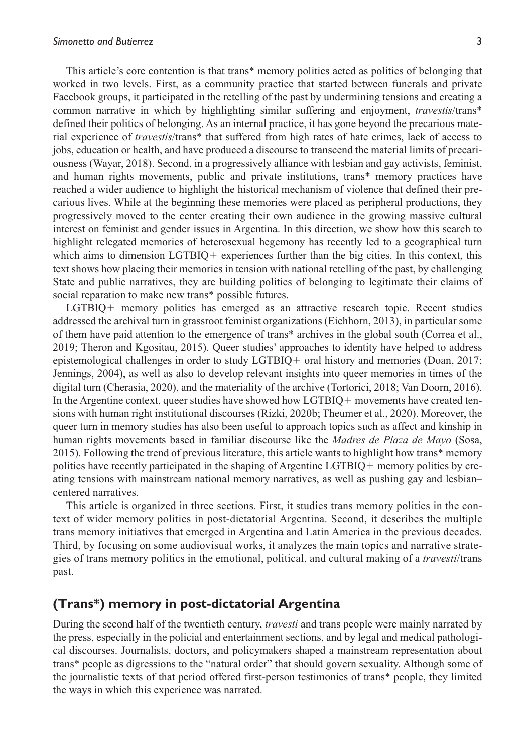This article's core contention is that trans\* memory politics acted as politics of belonging that worked in two levels. First, as a community practice that started between funerals and private Facebook groups, it participated in the retelling of the past by undermining tensions and creating a common narrative in which by highlighting similar suffering and enjoyment, *travestis*/trans\* defined their politics of belonging. As an internal practice, it has gone beyond the precarious material experience of *travestis*/trans\* that suffered from high rates of hate crimes, lack of access to jobs, education or health, and have produced a discourse to transcend the material limits of precariousness (Wayar, 2018). Second, in a progressively alliance with lesbian and gay activists, feminist, and human rights movements, public and private institutions, trans\* memory practices have reached a wider audience to highlight the historical mechanism of violence that defined their precarious lives. While at the beginning these memories were placed as peripheral productions, they progressively moved to the center creating their own audience in the growing massive cultural interest on feminist and gender issues in Argentina. In this direction, we show how this search to highlight relegated memories of heterosexual hegemony has recently led to a geographical turn which aims to dimension LGTBIQ+ experiences further than the big cities. In this context, this text shows how placing their memories in tension with national retelling of the past, by challenging State and public narratives, they are building politics of belonging to legitimate their claims of social reparation to make new trans\* possible futures.

LGTBIQ+ memory politics has emerged as an attractive research topic. Recent studies addressed the archival turn in grassroot feminist organizations (Eichhorn, 2013), in particular some of them have paid attention to the emergence of trans\* archives in the global south (Correa et al., 2019; Theron and Kgositau, 2015). Queer studies' approaches to identity have helped to address epistemological challenges in order to study LGTBIQ+ oral history and memories (Doan, 2017; Jennings, 2004), as well as also to develop relevant insights into queer memories in times of the digital turn (Cherasia, 2020), and the materiality of the archive (Tortorici, 2018; Van Doorn, 2016). In the Argentine context, queer studies have showed how LGTBIQ+ movements have created tensions with human right institutional discourses (Rizki, 2020b; Theumer et al., 2020). Moreover, the queer turn in memory studies has also been useful to approach topics such as affect and kinship in human rights movements based in familiar discourse like the *Madres de Plaza de Mayo* (Sosa, 2015). Following the trend of previous literature, this article wants to highlight how trans\* memory politics have recently participated in the shaping of Argentine LGTBIQ+ memory politics by creating tensions with mainstream national memory narratives, as well as pushing gay and lesbian– centered narratives.

This article is organized in three sections. First, it studies trans memory politics in the context of wider memory politics in post-dictatorial Argentina. Second, it describes the multiple trans memory initiatives that emerged in Argentina and Latin America in the previous decades. Third, by focusing on some audiovisual works, it analyzes the main topics and narrative strategies of trans memory politics in the emotional, political, and cultural making of a *travesti*/trans past.

## **(Trans\*) memory in post-dictatorial Argentina**

During the second half of the twentieth century, *travesti* and trans people were mainly narrated by the press, especially in the policial and entertainment sections, and by legal and medical pathological discourses. Journalists, doctors, and policymakers shaped a mainstream representation about trans\* people as digressions to the "natural order" that should govern sexuality. Although some of the journalistic texts of that period offered first-person testimonies of trans\* people, they limited the ways in which this experience was narrated.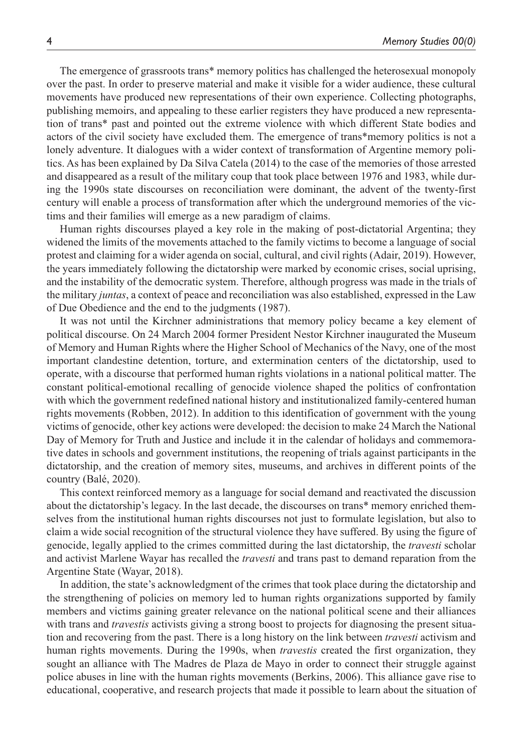The emergence of grassroots trans\* memory politics has challenged the heterosexual monopoly over the past. In order to preserve material and make it visible for a wider audience, these cultural movements have produced new representations of their own experience. Collecting photographs, publishing memoirs, and appealing to these earlier registers they have produced a new representation of trans\* past and pointed out the extreme violence with which different State bodies and actors of the civil society have excluded them. The emergence of trans\*memory politics is not a lonely adventure. It dialogues with a wider context of transformation of Argentine memory politics. As has been explained by Da Silva Catela (2014) to the case of the memories of those arrested and disappeared as a result of the military coup that took place between 1976 and 1983, while during the 1990s state discourses on reconciliation were dominant, the advent of the twenty-first century will enable a process of transformation after which the underground memories of the victims and their families will emerge as a new paradigm of claims.

Human rights discourses played a key role in the making of post-dictatorial Argentina; they widened the limits of the movements attached to the family victims to become a language of social protest and claiming for a wider agenda on social, cultural, and civil rights (Adair, 2019). However, the years immediately following the dictatorship were marked by economic crises, social uprising, and the instability of the democratic system. Therefore, although progress was made in the trials of the military *juntas*, a context of peace and reconciliation was also established, expressed in the Law of Due Obedience and the end to the judgments (1987).

It was not until the Kirchner administrations that memory policy became a key element of political discourse. On 24 March 2004 former President Nestor Kirchner inaugurated the Museum of Memory and Human Rights where the Higher School of Mechanics of the Navy, one of the most important clandestine detention, torture, and extermination centers of the dictatorship, used to operate, with a discourse that performed human rights violations in a national political matter. The constant political-emotional recalling of genocide violence shaped the politics of confrontation with which the government redefined national history and institutionalized family-centered human rights movements (Robben, 2012). In addition to this identification of government with the young victims of genocide, other key actions were developed: the decision to make 24 March the National Day of Memory for Truth and Justice and include it in the calendar of holidays and commemorative dates in schools and government institutions, the reopening of trials against participants in the dictatorship, and the creation of memory sites, museums, and archives in different points of the country (Balé, 2020).

This context reinforced memory as a language for social demand and reactivated the discussion about the dictatorship's legacy. In the last decade, the discourses on trans\* memory enriched themselves from the institutional human rights discourses not just to formulate legislation, but also to claim a wide social recognition of the structural violence they have suffered. By using the figure of genocide, legally applied to the crimes committed during the last dictatorship, the *travesti* scholar and activist Marlene Wayar has recalled the *travesti* and trans past to demand reparation from the Argentine State (Wayar, 2018).

In addition, the state's acknowledgment of the crimes that took place during the dictatorship and the strengthening of policies on memory led to human rights organizations supported by family members and victims gaining greater relevance on the national political scene and their alliances with trans and *travestis* activists giving a strong boost to projects for diagnosing the present situation and recovering from the past. There is a long history on the link between *travesti* activism and human rights movements. During the 1990s, when *travestis* created the first organization, they sought an alliance with The Madres de Plaza de Mayo in order to connect their struggle against police abuses in line with the human rights movements (Berkins, 2006). This alliance gave rise to educational, cooperative, and research projects that made it possible to learn about the situation of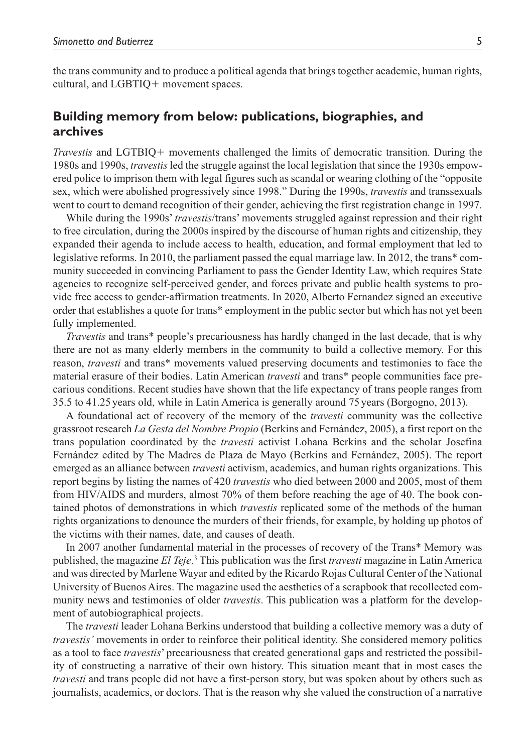the trans community and to produce a political agenda that brings together academic, human rights, cultural, and LGBTIQ+ movement spaces.

## **Building memory from below: publications, biographies, and archives**

*Travestis* and LGTBIQ+ movements challenged the limits of democratic transition. During the 1980s and 1990s, *travestis* led the struggle against the local legislation that since the 1930s empowered police to imprison them with legal figures such as scandal or wearing clothing of the "opposite sex, which were abolished progressively since 1998." During the 1990s, *travestis* and transsexuals went to court to demand recognition of their gender, achieving the first registration change in 1997.

While during the 1990s' *travestis*/trans' movements struggled against repression and their right to free circulation, during the 2000s inspired by the discourse of human rights and citizenship, they expanded their agenda to include access to health, education, and formal employment that led to legislative reforms. In 2010, the parliament passed the equal marriage law. In 2012, the trans\* community succeeded in convincing Parliament to pass the Gender Identity Law, which requires State agencies to recognize self-perceived gender, and forces private and public health systems to provide free access to gender-affirmation treatments. In 2020, Alberto Fernandez signed an executive order that establishes a quote for trans\* employment in the public sector but which has not yet been fully implemented.

*Travestis* and trans\* people's precariousness has hardly changed in the last decade, that is why there are not as many elderly members in the community to build a collective memory. For this reason, *travesti* and trans\* movements valued preserving documents and testimonies to face the material erasure of their bodies. Latin American *travesti* and trans\* people communities face precarious conditions. Recent studies have shown that the life expectancy of trans people ranges from 35.5 to 41.25 years old, while in Latin America is generally around 75years (Borgogno, 2013).

A foundational act of recovery of the memory of the *travesti* community was the collective grassroot research *La Gesta del Nombre Propio* (Berkins and Fernández, 2005), a first report on the trans population coordinated by the *travesti* activist Lohana Berkins and the scholar Josefina Fernández edited by The Madres de Plaza de Mayo (Berkins and Fernández, 2005). The report emerged as an alliance between *travesti* activism, academics, and human rights organizations. This report begins by listing the names of 420 *travestis* who died between 2000 and 2005, most of them from HIV/AIDS and murders, almost 70% of them before reaching the age of 40. The book contained photos of demonstrations in which *travestis* replicated some of the methods of the human rights organizations to denounce the murders of their friends, for example, by holding up photos of the victims with their names, date, and causes of death.

In 2007 another fundamental material in the processes of recovery of the Trans\* Memory was published, the magazine *El Teje*. 3 This publication was the first *travesti* magazine in Latin America and was directed by Marlene Wayar and edited by the Ricardo Rojas Cultural Center of the National University of Buenos Aires. The magazine used the aesthetics of a scrapbook that recollected community news and testimonies of older *travestis*. This publication was a platform for the development of autobiographical projects.

The *travesti* leader Lohana Berkins understood that building a collective memory was a duty of *travestis'* movements in order to reinforce their political identity. She considered memory politics as a tool to face *travestis*' precariousness that created generational gaps and restricted the possibility of constructing a narrative of their own history. This situation meant that in most cases the *travesti* and trans people did not have a first-person story, but was spoken about by others such as journalists, academics, or doctors. That is the reason why she valued the construction of a narrative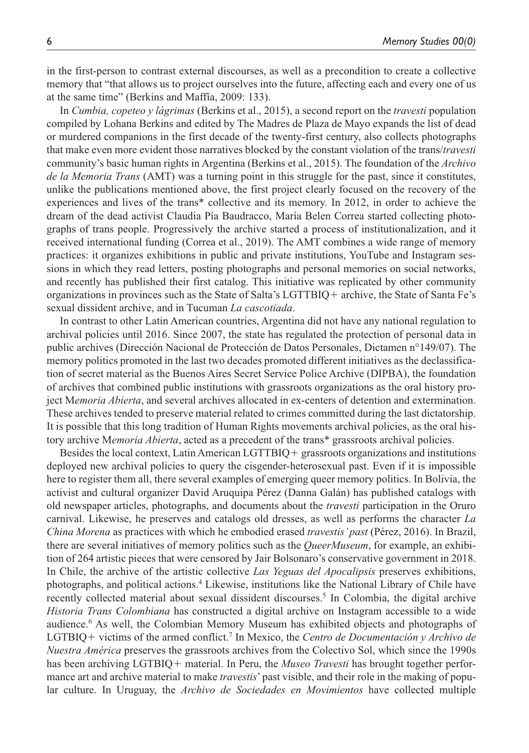in the first-person to contrast external discourses, as well as a precondition to create a collective memory that "that allows us to project ourselves into the future, affecting each and every one of us at the same time" (Berkins and Maffía, 2009: 133).

In *Cumbia, copeteo y lágrimas* (Berkins et al., 2015), a second report on the *travesti* population compiled by Lohana Berkins and edited by The Madres de Plaza de Mayo expands the list of dead or murdered companions in the first decade of the twenty-first century, also collects photographs that make even more evident those narratives blocked by the constant violation of the trans/*travesti* community's basic human rights in Argentina (Berkins et al., 2015). The foundation of the *Archivo de la Memoria Trans* (AMT) was a turning point in this struggle for the past, since it constitutes, unlike the publications mentioned above, the first project clearly focused on the recovery of the experiences and lives of the trans\* collective and its memory. In 2012, in order to achieve the dream of the dead activist Claudia Pía Baudracco, María Belen Correa started collecting photographs of trans people. Progressively the archive started a process of institutionalization, and it received international funding (Correa et al., 2019). The AMT combines a wide range of memory practices: it organizes exhibitions in public and private institutions, YouTube and Instagram sessions in which they read letters, posting photographs and personal memories on social networks, and recently has published their first catalog. This initiative was replicated by other community organizations in provinces such as the State of Salta's LGTTBIQ+ archive, the State of Santa Fe's sexual dissident archive, and in Tucuman *La cascotiada*.

In contrast to other Latin American countries, Argentina did not have any national regulation to archival policies until 2016. Since 2007, the state has regulated the protection of personal data in public archives (Dirección Nacional de Protección de Datos Personales, Dictamen n°149/07). The memory politics promoted in the last two decades promoted different initiatives as the declassification of secret material as the Buenos Aires Secret Service Police Archive (DIPBA), the foundation of archives that combined public institutions with grassroots organizations as the oral history project M*emoria Abierta*, and several archives allocated in ex-centers of detention and extermination. These archives tended to preserve material related to crimes committed during the last dictatorship. It is possible that this long tradition of Human Rights movements archival policies, as the oral history archive M*emoria Abierta*, acted as a precedent of the trans\* grassroots archival policies.

Besides the local context, Latin American LGTTBIQ+ grassroots organizations and institutions deployed new archival policies to query the cisgender-heterosexual past. Even if it is impossible here to register them all, there several examples of emerging queer memory politics. In Bolivia, the activist and cultural organizer David Aruquipa Pérez (Danna Galán) has published catalogs with old newspaper articles, photographs, and documents about the *travesti* participation in the Oruro carnival. Likewise, he preserves and catalogs old dresses, as well as performs the character *La China Morena* as practices with which he embodied erased *travestis' past* (Pérez, 2016). In Brazil, there are several initiatives of memory politics such as the *QueerMuseum*, for example, an exhibition of 264 artistic pieces that were censored by Jair Bolsonaro's conservative government in 2018. In Chile, the archive of the artistic collective *Las Yeguas del Apocalipsis* preserves exhibitions, photographs, and political actions.4 Likewise, institutions like the National Library of Chile have recently collected material about sexual dissident discourses.<sup>5</sup> In Colombia, the digital archive *Historia Trans Colombiana* has constructed a digital archive on Instagram accessible to a wide audience.6 As well, the Colombian Memory Museum has exhibited objects and photographs of LGTBIQ+ victims of the armed conflict.<sup>7</sup> In Mexico, the *Centro de Documentación y Archivo de Nuestra América* preserves the grassroots archives from the Colectivo Sol, which since the 1990s has been archiving LGTBIQ+ material. In Peru, the *Museo Travesti* has brought together performance art and archive material to make *travestis*' past visible, and their role in the making of popular culture. In Uruguay, the *Archivo de Sociedades en Movimientos* have collected multiple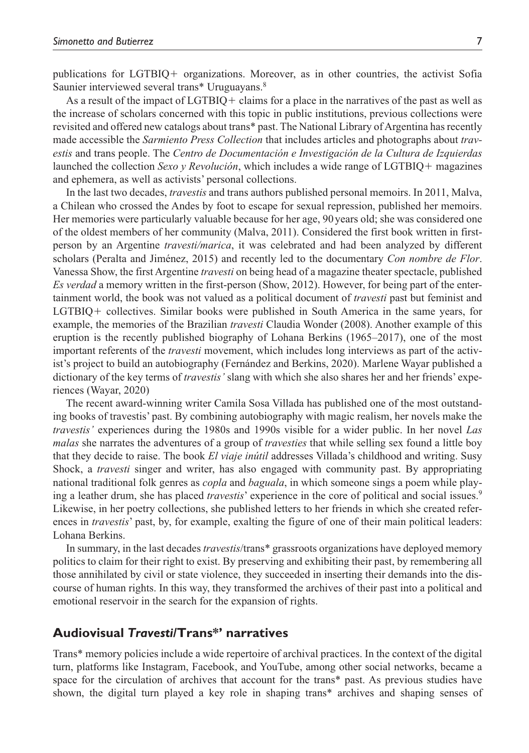publications for LGTBIQ+ organizations. Moreover, as in other countries, the activist Sofia Saunier interviewed several trans\* Uruguayans.8

As a result of the impact of LGTBIQ+ claims for a place in the narratives of the past as well as the increase of scholars concerned with this topic in public institutions, previous collections were revisited and offered new catalogs about trans\* past. The National Library of Argentina has recently made accessible the *Sarmiento Press Collection* that includes articles and photographs about *travestis* and trans people. The *Centro de Documentación e Investigación de la Cultura de Izquierdas* launched the collection *Sexo y Revolución*, which includes a wide range of LGTBIQ+ magazines and ephemera, as well as activists' personal collections.

In the last two decades, *travestis* and trans authors published personal memoirs. In 2011, Malva, a Chilean who crossed the Andes by foot to escape for sexual repression, published her memoirs. Her memories were particularly valuable because for her age, 90years old; she was considered one of the oldest members of her community (Malva, 2011). Considered the first book written in firstperson by an Argentine *travesti/marica*, it was celebrated and had been analyzed by different scholars (Peralta and Jiménez, 2015) and recently led to the documentary *Con nombre de Flor*. Vanessa Show, the first Argentine *travesti* on being head of a magazine theater spectacle, published *Es verdad* a memory written in the first-person (Show, 2012). However, for being part of the entertainment world, the book was not valued as a political document of *travesti* past but feminist and LGTBIQ+ collectives. Similar books were published in South America in the same years, for example, the memories of the Brazilian *travesti* Claudia Wonder (2008). Another example of this eruption is the recently published biography of Lohana Berkins (1965–2017), one of the most important referents of the *travesti* movement, which includes long interviews as part of the activist's project to build an autobiography (Fernández and Berkins, 2020). Marlene Wayar published a dictionary of the key terms of *travestis'* slang with which she also shares her and her friends' experiences (Wayar, 2020)

The recent award-winning writer Camila Sosa Villada has published one of the most outstanding books of travestis' past. By combining autobiography with magic realism, her novels make the *travestis'* experiences during the 1980s and 1990s visible for a wider public. In her novel *Las malas* she narrates the adventures of a group of *travesties* that while selling sex found a little boy that they decide to raise. The book *El viaje inútil* addresses Villada's childhood and writing. Susy Shock, a *travesti* singer and writer, has also engaged with community past. By appropriating national traditional folk genres as *copla* and *baguala*, in which someone sings a poem while playing a leather drum, she has placed *travestis*' experience in the core of political and social issues.<sup>9</sup> Likewise, in her poetry collections, she published letters to her friends in which she created references in *travestis*' past, by, for example, exalting the figure of one of their main political leaders: Lohana Berkins.

In summary, in the last decades *travestis*/trans\* grassroots organizations have deployed memory politics to claim for their right to exist. By preserving and exhibiting their past, by remembering all those annihilated by civil or state violence, they succeeded in inserting their demands into the discourse of human rights. In this way, they transformed the archives of their past into a political and emotional reservoir in the search for the expansion of rights.

## **Audiovisual** *Travesti***/Trans\*' narratives**

Trans\* memory policies include a wide repertoire of archival practices. In the context of the digital turn, platforms like Instagram, Facebook, and YouTube, among other social networks, became a space for the circulation of archives that account for the trans\* past. As previous studies have shown, the digital turn played a key role in shaping trans\* archives and shaping senses of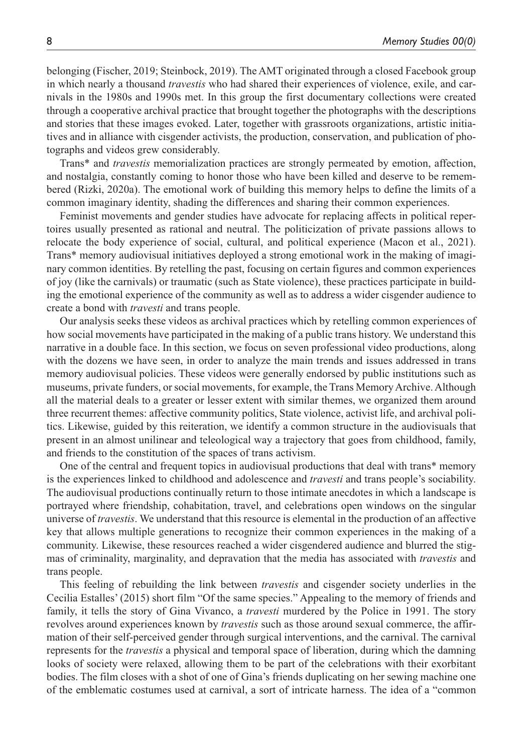belonging (Fischer, 2019; Steinbock, 2019). The AMT originated through a closed Facebook group in which nearly a thousand *travestis* who had shared their experiences of violence, exile, and carnivals in the 1980s and 1990s met. In this group the first documentary collections were created through a cooperative archival practice that brought together the photographs with the descriptions and stories that these images evoked. Later, together with grassroots organizations, artistic initiatives and in alliance with cisgender activists, the production, conservation, and publication of photographs and videos grew considerably.

Trans\* and *travestis* memorialization practices are strongly permeated by emotion, affection, and nostalgia, constantly coming to honor those who have been killed and deserve to be remembered (Rizki, 2020a). The emotional work of building this memory helps to define the limits of a common imaginary identity, shading the differences and sharing their common experiences.

Feminist movements and gender studies have advocate for replacing affects in political repertoires usually presented as rational and neutral. The politicization of private passions allows to relocate the body experience of social, cultural, and political experience (Macon et al., 2021). Trans\* memory audiovisual initiatives deployed a strong emotional work in the making of imaginary common identities. By retelling the past, focusing on certain figures and common experiences of joy (like the carnivals) or traumatic (such as State violence), these practices participate in building the emotional experience of the community as well as to address a wider cisgender audience to create a bond with *travesti* and trans people.

Our analysis seeks these videos as archival practices which by retelling common experiences of how social movements have participated in the making of a public trans history. We understand this narrative in a double face. In this section, we focus on seven professional video productions, along with the dozens we have seen, in order to analyze the main trends and issues addressed in trans memory audiovisual policies. These videos were generally endorsed by public institutions such as museums, private funders, or social movements, for example, the Trans Memory Archive. Although all the material deals to a greater or lesser extent with similar themes, we organized them around three recurrent themes: affective community politics, State violence, activist life, and archival politics. Likewise, guided by this reiteration, we identify a common structure in the audiovisuals that present in an almost unilinear and teleological way a trajectory that goes from childhood, family, and friends to the constitution of the spaces of trans activism.

One of the central and frequent topics in audiovisual productions that deal with trans\* memory is the experiences linked to childhood and adolescence and *travesti* and trans people's sociability. The audiovisual productions continually return to those intimate anecdotes in which a landscape is portrayed where friendship, cohabitation, travel, and celebrations open windows on the singular universe of *travestis*. We understand that this resource is elemental in the production of an affective key that allows multiple generations to recognize their common experiences in the making of a community. Likewise, these resources reached a wider cisgendered audience and blurred the stigmas of criminality, marginality, and depravation that the media has associated with *travestis* and trans people.

This feeling of rebuilding the link between *travestis* and cisgender society underlies in the Cecilia Estalles' (2015) short film "Of the same species." Appealing to the memory of friends and family, it tells the story of Gina Vivanco, a *travesti* murdered by the Police in 1991. The story revolves around experiences known by *travestis* such as those around sexual commerce, the affirmation of their self-perceived gender through surgical interventions, and the carnival. The carnival represents for the *travestis* a physical and temporal space of liberation, during which the damning looks of society were relaxed, allowing them to be part of the celebrations with their exorbitant bodies. The film closes with a shot of one of Gina's friends duplicating on her sewing machine one of the emblematic costumes used at carnival, a sort of intricate harness. The idea of a "common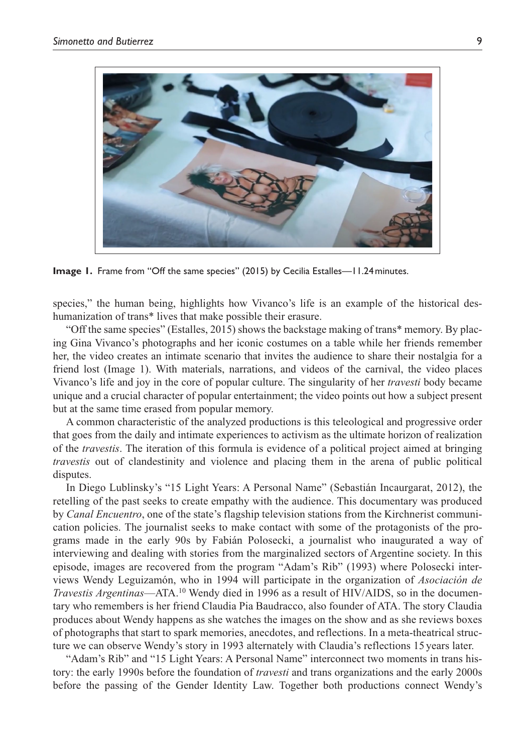

**Image 1.** Frame from "Off the same species" (2015) by Cecilia Estalles—11.24 minutes.

species," the human being, highlights how Vivanco's life is an example of the historical deshumanization of trans\* lives that make possible their erasure.

"Off the same species" (Estalles, 2015) shows the backstage making of trans\* memory. By placing Gina Vivanco's photographs and her iconic costumes on a table while her friends remember her, the video creates an intimate scenario that invites the audience to share their nostalgia for a friend lost (Image 1). With materials, narrations, and videos of the carnival, the video places Vivanco's life and joy in the core of popular culture. The singularity of her *travesti* body became unique and a crucial character of popular entertainment; the video points out how a subject present but at the same time erased from popular memory.

A common characteristic of the analyzed productions is this teleological and progressive order that goes from the daily and intimate experiences to activism as the ultimate horizon of realization of the *travestis*. The iteration of this formula is evidence of a political project aimed at bringing *travestis* out of clandestinity and violence and placing them in the arena of public political disputes.

In Diego Lublinsky's "15 Light Years: A Personal Name" (Sebastián Incaurgarat, 2012), the retelling of the past seeks to create empathy with the audience. This documentary was produced by *Canal Encuentro*, one of the state's flagship television stations from the Kirchnerist communication policies. The journalist seeks to make contact with some of the protagonists of the programs made in the early 90s by Fabián Polosecki, a journalist who inaugurated a way of interviewing and dealing with stories from the marginalized sectors of Argentine society. In this episode, images are recovered from the program "Adam's Rib" (1993) where Polosecki interviews Wendy Leguizamón, who in 1994 will participate in the organization of *Asociación de Travestis Argentinas*—ATA.<sup>10</sup> Wendy died in 1996 as a result of HIV/AIDS, so in the documentary who remembers is her friend Claudia Pia Baudracco, also founder of ATA. The story Claudia produces about Wendy happens as she watches the images on the show and as she reviews boxes of photographs that start to spark memories, anecdotes, and reflections. In a meta-theatrical structure we can observe Wendy's story in 1993 alternately with Claudia's reflections 15 years later.

"Adam's Rib" and "15 Light Years: A Personal Name" interconnect two moments in trans history: the early 1990s before the foundation of *travesti* and trans organizations and the early 2000s before the passing of the Gender Identity Law. Together both productions connect Wendy's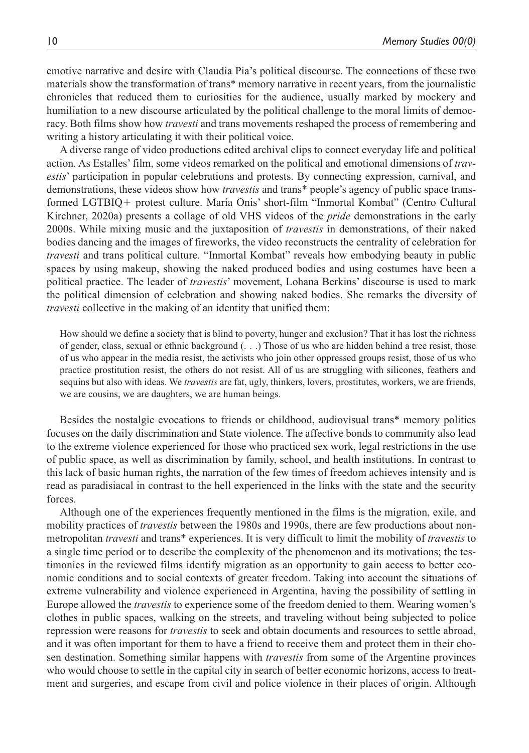emotive narrative and desire with Claudia Pia's political discourse. The connections of these two materials show the transformation of trans\* memory narrative in recent years, from the journalistic chronicles that reduced them to curiosities for the audience, usually marked by mockery and humiliation to a new discourse articulated by the political challenge to the moral limits of democracy. Both films show how *travesti* and trans movements reshaped the process of remembering and writing a history articulating it with their political voice.

A diverse range of video productions edited archival clips to connect everyday life and political action. As Estalles' film, some videos remarked on the political and emotional dimensions of *travestis*' participation in popular celebrations and protests. By connecting expression, carnival, and demonstrations, these videos show how *travestis* and trans\* people's agency of public space transformed LGTBIQ+ protest culture. María Onis' short-film "Inmortal Kombat" (Centro Cultural Kirchner, 2020a) presents a collage of old VHS videos of the *pride* demonstrations in the early 2000s. While mixing music and the juxtaposition of *travestis* in demonstrations, of their naked bodies dancing and the images of fireworks, the video reconstructs the centrality of celebration for *travesti* and trans political culture. "Inmortal Kombat" reveals how embodying beauty in public spaces by using makeup, showing the naked produced bodies and using costumes have been a political practice. The leader of *travestis*' movement, Lohana Berkins' discourse is used to mark the political dimension of celebration and showing naked bodies. She remarks the diversity of *travesti* collective in the making of an identity that unified them:

How should we define a society that is blind to poverty, hunger and exclusion? That it has lost the richness of gender, class, sexual or ethnic background (. . .) Those of us who are hidden behind a tree resist, those of us who appear in the media resist, the activists who join other oppressed groups resist, those of us who practice prostitution resist, the others do not resist. All of us are struggling with silicones, feathers and sequins but also with ideas. We *travestis* are fat, ugly, thinkers, lovers, prostitutes, workers, we are friends, we are cousins, we are daughters, we are human beings.

Besides the nostalgic evocations to friends or childhood, audiovisual trans\* memory politics focuses on the daily discrimination and State violence. The affective bonds to community also lead to the extreme violence experienced for those who practiced sex work, legal restrictions in the use of public space, as well as discrimination by family, school, and health institutions. In contrast to this lack of basic human rights, the narration of the few times of freedom achieves intensity and is read as paradisiacal in contrast to the hell experienced in the links with the state and the security forces.

Although one of the experiences frequently mentioned in the films is the migration, exile, and mobility practices of *travestis* between the 1980s and 1990s, there are few productions about nonmetropolitan *travesti* and trans\* experiences. It is very difficult to limit the mobility of *travestis* to a single time period or to describe the complexity of the phenomenon and its motivations; the testimonies in the reviewed films identify migration as an opportunity to gain access to better economic conditions and to social contexts of greater freedom. Taking into account the situations of extreme vulnerability and violence experienced in Argentina, having the possibility of settling in Europe allowed the *travestis* to experience some of the freedom denied to them. Wearing women's clothes in public spaces, walking on the streets, and traveling without being subjected to police repression were reasons for *travestis* to seek and obtain documents and resources to settle abroad, and it was often important for them to have a friend to receive them and protect them in their chosen destination. Something similar happens with *travestis* from some of the Argentine provinces who would choose to settle in the capital city in search of better economic horizons, access to treatment and surgeries, and escape from civil and police violence in their places of origin. Although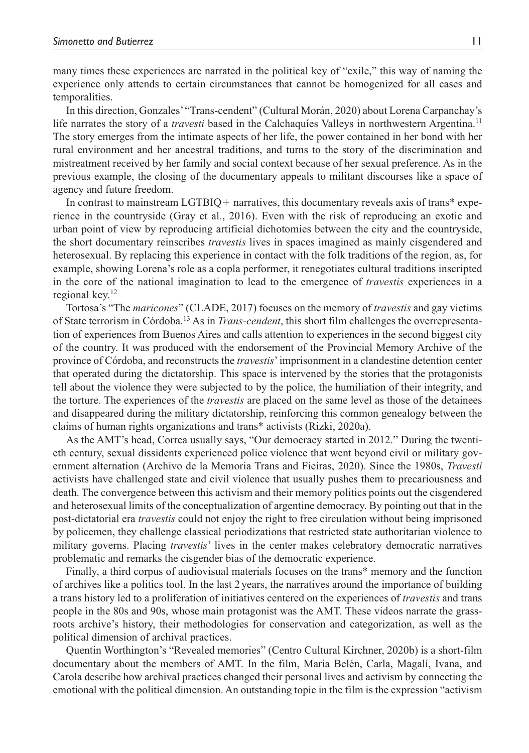many times these experiences are narrated in the political key of "exile," this way of naming the experience only attends to certain circumstances that cannot be homogenized for all cases and temporalities.

In this direction, Gonzales' "Trans-cendent" (Cultural Morán, 2020) about Lorena Carpanchay's life narrates the story of a *travesti* based in the Calchaquíes Valleys in northwestern Argentina.<sup>11</sup> The story emerges from the intimate aspects of her life, the power contained in her bond with her rural environment and her ancestral traditions, and turns to the story of the discrimination and mistreatment received by her family and social context because of her sexual preference. As in the previous example, the closing of the documentary appeals to militant discourses like a space of agency and future freedom.

In contrast to mainstream  $LGTBIQ$  + narratives, this documentary reveals axis of trans\* experience in the countryside (Gray et al., 2016). Even with the risk of reproducing an exotic and urban point of view by reproducing artificial dichotomies between the city and the countryside, the short documentary reinscribes *travestis* lives in spaces imagined as mainly cisgendered and heterosexual. By replacing this experience in contact with the folk traditions of the region, as, for example, showing Lorena's role as a copla performer, it renegotiates cultural traditions inscripted in the core of the national imagination to lead to the emergence of *travestis* experiences in a regional key.12

Tortosa's "The *maricones*" (CLADE, 2017) focuses on the memory of *travestis* and gay victims of State terrorism in Córdoba.13 As in *Trans-cendent*, this short film challenges the overrepresentation of experiences from Buenos Aires and calls attention to experiences in the second biggest city of the country. It was produced with the endorsement of the Provincial Memory Archive of the province of Córdoba, and reconstructs the *travestis*' imprisonment in a clandestine detention center that operated during the dictatorship. This space is intervened by the stories that the protagonists tell about the violence they were subjected to by the police, the humiliation of their integrity, and the torture. The experiences of the *travestis* are placed on the same level as those of the detainees and disappeared during the military dictatorship, reinforcing this common genealogy between the claims of human rights organizations and trans\* activists (Rizki, 2020a).

As the AMT's head, Correa usually says, "Our democracy started in 2012." During the twentieth century, sexual dissidents experienced police violence that went beyond civil or military government alternation (Archivo de la Memoria Trans and Fieiras, 2020). Since the 1980s, *Travesti* activists have challenged state and civil violence that usually pushes them to precariousness and death. The convergence between this activism and their memory politics points out the cisgendered and heterosexual limits of the conceptualization of argentine democracy. By pointing out that in the post-dictatorial era *travestis* could not enjoy the right to free circulation without being imprisoned by policemen, they challenge classical periodizations that restricted state authoritarian violence to military governs. Placing *travestis*' lives in the center makes celebratory democratic narratives problematic and remarks the cisgender bias of the democratic experience.

Finally, a third corpus of audiovisual materials focuses on the trans\* memory and the function of archives like a politics tool. In the last 2years, the narratives around the importance of building a trans history led to a proliferation of initiatives centered on the experiences of *travestis* and trans people in the 80s and 90s, whose main protagonist was the AMT. These videos narrate the grassroots archive's history, their methodologies for conservation and categorization, as well as the political dimension of archival practices.

Quentin Worthington's "Revealed memories" (Centro Cultural Kirchner, 2020b) is a short-film documentary about the members of AMT. In the film, Maria Belén, Carla, Magalí, Ivana, and Carola describe how archival practices changed their personal lives and activism by connecting the emotional with the political dimension. An outstanding topic in the film is the expression "activism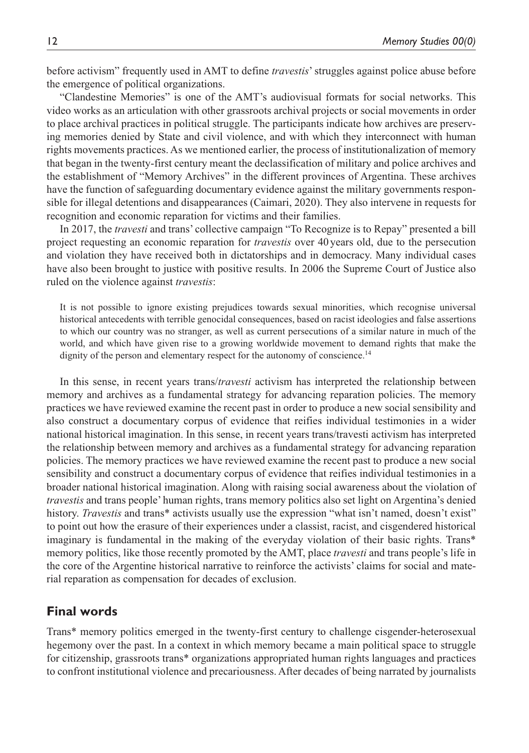before activism" frequently used in AMT to define *travestis*' struggles against police abuse before the emergence of political organizations.

"Clandestine Memories" is one of the AMT's audiovisual formats for social networks. This video works as an articulation with other grassroots archival projects or social movements in order to place archival practices in political struggle. The participants indicate how archives are preserving memories denied by State and civil violence, and with which they interconnect with human rights movements practices. As we mentioned earlier, the process of institutionalization of memory that began in the twenty-first century meant the declassification of military and police archives and the establishment of "Memory Archives" in the different provinces of Argentina. These archives have the function of safeguarding documentary evidence against the military governments responsible for illegal detentions and disappearances (Caimari, 2020). They also intervene in requests for recognition and economic reparation for victims and their families.

In 2017, the *travesti* and trans' collective campaign "To Recognize is to Repay" presented a bill project requesting an economic reparation for *travestis* over 40years old, due to the persecution and violation they have received both in dictatorships and in democracy. Many individual cases have also been brought to justice with positive results. In 2006 the Supreme Court of Justice also ruled on the violence against *travestis*:

It is not possible to ignore existing prejudices towards sexual minorities, which recognise universal historical antecedents with terrible genocidal consequences, based on racist ideologies and false assertions to which our country was no stranger, as well as current persecutions of a similar nature in much of the world, and which have given rise to a growing worldwide movement to demand rights that make the dignity of the person and elementary respect for the autonomy of conscience.<sup>14</sup>

In this sense, in recent years trans/*travesti* activism has interpreted the relationship between memory and archives as a fundamental strategy for advancing reparation policies. The memory practices we have reviewed examine the recent past in order to produce a new social sensibility and also construct a documentary corpus of evidence that reifies individual testimonies in a wider national historical imagination. In this sense, in recent years trans/travesti activism has interpreted the relationship between memory and archives as a fundamental strategy for advancing reparation policies. The memory practices we have reviewed examine the recent past to produce a new social sensibility and construct a documentary corpus of evidence that reifies individual testimonies in a broader national historical imagination. Along with raising social awareness about the violation of *travestis* and trans people' human rights, trans memory politics also set light on Argentina's denied history. *Travestis* and trans\* activists usually use the expression "what isn't named, doesn't exist" to point out how the erasure of their experiences under a classist, racist, and cisgendered historical imaginary is fundamental in the making of the everyday violation of their basic rights. Trans\* memory politics, like those recently promoted by the AMT, place *travesti* and trans people's life in the core of the Argentine historical narrative to reinforce the activists' claims for social and material reparation as compensation for decades of exclusion.

## **Final words**

Trans\* memory politics emerged in the twenty-first century to challenge cisgender-heterosexual hegemony over the past. In a context in which memory became a main political space to struggle for citizenship, grassroots trans\* organizations appropriated human rights languages and practices to confront institutional violence and precariousness. After decades of being narrated by journalists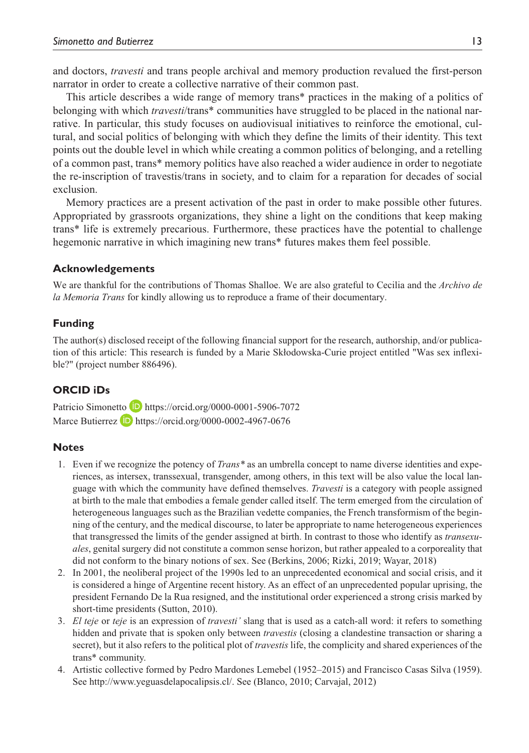and doctors, *travesti* and trans people archival and memory production revalued the first-person narrator in order to create a collective narrative of their common past.

This article describes a wide range of memory trans\* practices in the making of a politics of belonging with which *travesti*/trans\* communities have struggled to be placed in the national narrative. In particular, this study focuses on audiovisual initiatives to reinforce the emotional, cultural, and social politics of belonging with which they define the limits of their identity. This text points out the double level in which while creating a common politics of belonging, and a retelling of a common past, trans\* memory politics have also reached a wider audience in order to negotiate the re-inscription of travestis/trans in society, and to claim for a reparation for decades of social exclusion.

Memory practices are a present activation of the past in order to make possible other futures. Appropriated by grassroots organizations, they shine a light on the conditions that keep making trans\* life is extremely precarious. Furthermore, these practices have the potential to challenge hegemonic narrative in which imagining new trans\* futures makes them feel possible.

### **Acknowledgements**

We are thankful for the contributions of Thomas Shalloe. We are also grateful to Cecilia and the *Archivo de la Memoria Trans* for kindly allowing us to reproduce a frame of their documentary.

### **Funding**

The author(s) disclosed receipt of the following financial support for the research, authorship, and/or publication of this article: This research is funded by a Marie Skłodowska-Curie project entitled "Was sex inflexible?" (project number 886496).

## **ORCID iDs**

Patricio Simonetto **b** <https://orcid.org/0000-0001-5906-7072> Marce Butierrez  $\Box$  <https://orcid.org/0000-0002-4967-0676>

#### **Notes**

- 1. Even if we recognize the potency of *Trans\** as an umbrella concept to name diverse identities and experiences, as intersex, transsexual, transgender, among others, in this text will be also value the local language with which the community have defined themselves. *Travesti* is a category with people assigned at birth to the male that embodies a female gender called itself. The term emerged from the circulation of heterogeneous languages such as the Brazilian vedette companies, the French transformism of the beginning of the century, and the medical discourse, to later be appropriate to name heterogeneous experiences that transgressed the limits of the gender assigned at birth. In contrast to those who identify as *transexuales*, genital surgery did not constitute a common sense horizon, but rather appealed to a corporeality that did not conform to the binary notions of sex. See (Berkins, 2006; Rizki, 2019; Wayar, 2018)
- 2. In 2001, the neoliberal project of the 1990s led to an unprecedented economical and social crisis, and it is considered a hinge of Argentine recent history. As an effect of an unprecedented popular uprising, the president Fernando De la Rua resigned, and the institutional order experienced a strong crisis marked by short-time presidents (Sutton, 2010).
- 3. *El teje* or *teje* is an expression of *travesti'* slang that is used as a catch-all word: it refers to something hidden and private that is spoken only between *travestis* (closing a clandestine transaction or sharing a secret), but it also refers to the political plot of *travestis* life, the complicity and shared experiences of the trans\* community.
- 4. Artistic collective formed by Pedro Mardones Lemebel (1952–2015) and Francisco Casas Silva (1959). See<http://www.yeguasdelapocalipsis.cl/>. See (Blanco, 2010; Carvajal, 2012)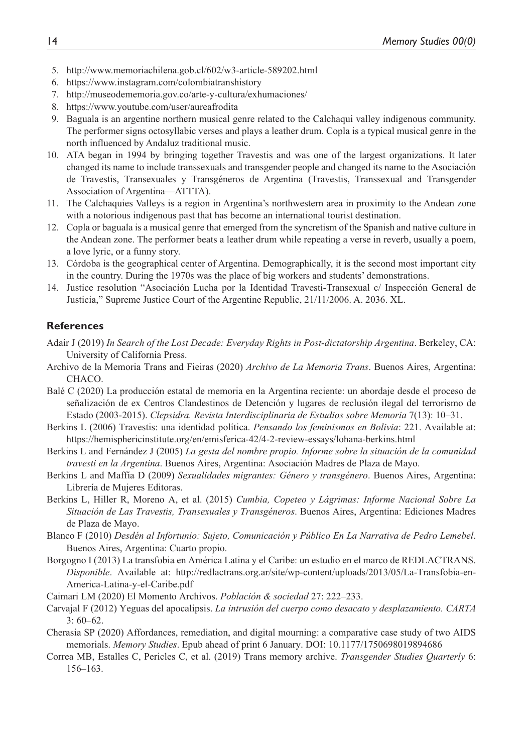- 5. <http://www.memoriachilena.gob.cl/602/w3-article-589202.html>
- 6. <https://www.instagram.com/colombiatranshistory>
- 7. <http://museodememoria.gov.co/arte-y-cultura/exhumaciones/>
- 8. <https://www.youtube.com/user/aureafrodita>
- 9. Baguala is an argentine northern musical genre related to the Calchaqui valley indigenous community. The performer signs octosyllabic verses and plays a leather drum. Copla is a typical musical genre in the north influenced by Andaluz traditional music.
- 10. ATA began in 1994 by bringing together Travestis and was one of the largest organizations. It later changed its name to include transsexuals and transgender people and changed its name to the Asociación de Travestis, Transexuales y Transgéneros de Argentina (Travestis, Transsexual and Transgender Association of Argentina—ATTTA).
- 11. The Calchaquies Valleys is a region in Argentina's northwestern area in proximity to the Andean zone with a notorious indigenous past that has become an international tourist destination.
- 12. Copla or baguala is a musical genre that emerged from the syncretism of the Spanish and native culture in the Andean zone. The performer beats a leather drum while repeating a verse in reverb, usually a poem, a love lyric, or a funny story.
- 13. Córdoba is the geographical center of Argentina. Demographically, it is the second most important city in the country. During the 1970s was the place of big workers and students' demonstrations.
- 14. Justice resolution "Asociación Lucha por la Identidad Travesti-Transexual c/ Inspección General de Justicia," Supreme Justice Court of the Argentine Republic, 21/11/2006. A. 2036. XL.

## **References**

- Adair J (2019) *In Search of the Lost Decade: Everyday Rights in Post-dictatorship Argentina*. Berkeley, CA: University of California Press.
- Archivo de la Memoria Trans and Fieiras (2020) *Archivo de La Memoria Trans*. Buenos Aires, Argentina: CHACO.
- Balé C (2020) La producción estatal de memoria en la Argentina reciente: un abordaje desde el proceso de señalización de ex Centros Clandestinos de Detención y lugares de reclusión ilegal del terrorismo de Estado (2003-2015). *Clepsidra. Revista Interdisciplinaria de Estudios sobre Memoria* 7(13): 10–31.
- Berkins L (2006) Travestis: una identidad política. *Pensando los feminismos en Bolivia*: 221. Available at: <https://hemisphericinstitute.org/en/emisferica-42/4-2-review-essays/lohana-berkins.html>
- Berkins L and Fernández J (2005) *La gesta del nombre propio. Informe sobre la situación de la comunidad travesti en la Argentina*. Buenos Aires, Argentina: Asociación Madres de Plaza de Mayo.
- Berkins L and Maffía D (2009) *Sexualidades migrantes: Género y transgénero*. Buenos Aires, Argentina: Librería de Mujeres Editoras.
- Berkins L, Hiller R, Moreno A, et al. (2015) *Cumbia, Copeteo y Lágrimas: Informe Nacional Sobre La Situación de Las Travestis, Transexuales y Transgéneros*. Buenos Aires, Argentina: Ediciones Madres de Plaza de Mayo.
- Blanco F (2010) *Desdén al Infortunio: Sujeto, Comunicación y Público En La Narrativa de Pedro Lemebel*. Buenos Aires, Argentina: Cuarto propio.
- Borgogno I (2013) La transfobia en América Latina y el Caribe: un estudio en el marco de REDLACTRANS. *Disponible*. Available at: [http://redlactrans.org.ar/site/wp-content/uploads/2013/05/La-Transfobia-en-](http://redlactrans.org.ar/site/wp-content/uploads/2013/05/La-Transfobia-en-America-Latina-y-el-Caribe.pdf)[America-Latina-y-el-Caribe.pdf](http://redlactrans.org.ar/site/wp-content/uploads/2013/05/La-Transfobia-en-America-Latina-y-el-Caribe.pdf)
- Caimari LM (2020) El Momento Archivos. *Población & sociedad* 27: 222–233.
- Carvajal F (2012) Yeguas del apocalipsis. *La intrusión del cuerpo como desacato y desplazamiento. CARTA* 3: 60–62.
- Cherasia SP (2020) Affordances, remediation, and digital mourning: a comparative case study of two AIDS memorials. *Memory Studies*. Epub ahead of print 6 January. DOI: 10.1177/1750698019894686
- Correa MB, Estalles C, Pericles C, et al. (2019) Trans memory archive. *Transgender Studies Quarterly* 6: 156–163.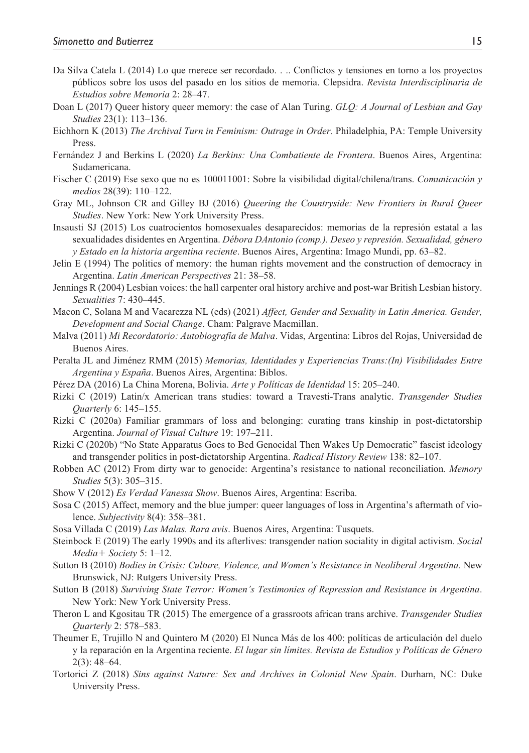- Da Silva Catela L (2014) Lo que merece ser recordado. . .. Conflictos y tensiones en torno a los proyectos públicos sobre los usos del pasado en los sitios de memoria. Clepsidra. *Revista Interdisciplinaria de Estudios sobre Memoria* 2: 28–47.
- Doan L (2017) Queer history queer memory: the case of Alan Turing. *GLQ: A Journal of Lesbian and Gay Studies* 23(1): 113–136.
- Eichhorn K (2013) *The Archival Turn in Feminism: Outrage in Order*. Philadelphia, PA: Temple University Press.
- Fernández J and Berkins L (2020) *La Berkins: Una Combatiente de Frontera*. Buenos Aires, Argentina: Sudamericana.
- Fischer C (2019) Ese sexo que no es 100011001: Sobre la visibilidad digital/chilena/trans. *Comunicación y medios* 28(39): 110–122.
- Gray ML, Johnson CR and Gilley BJ (2016) *Queering the Countryside: New Frontiers in Rural Queer Studies*. New York: New York University Press.
- Insausti SJ (2015) Los cuatrocientos homosexuales desaparecidos: memorias de la represión estatal a las sexualidades disidentes en Argentina. *Débora DAntonio (comp.). Deseo y represión. Sexualidad, género y Estado en la historia argentina reciente*. Buenos Aires, Argentina: Imago Mundi, pp. 63–82.
- Jelin E (1994) The politics of memory: the human rights movement and the construction of democracy in Argentina. *Latin American Perspectives* 21: 38–58.
- Jennings R (2004) Lesbian voices: the hall carpenter oral history archive and post-war British Lesbian history. *Sexualities* 7: 430–445.
- Macon C, Solana M and Vacarezza NL (eds) (2021) *Affect, Gender and Sexuality in Latin America. Gender, Development and Social Change*. Cham: Palgrave Macmillan.
- Malva (2011) *Mi Recordatorio: Autobiografía de Malva*. Vidas, Argentina: Libros del Rojas, Universidad de Buenos Aires.
- Peralta JL and Jiménez RMM (2015) *Memorias, Identidades y Experiencias Trans:(In) Visibilidades Entre Argentina y España*. Buenos Aires, Argentina: Biblos.
- Pérez DA (2016) La China Morena, Bolivia. *Arte y Políticas de Identidad* 15: 205–240.
- Rizki C (2019) Latin/x American trans studies: toward a Travesti-Trans analytic. *Transgender Studies Quarterly* 6: 145–155.
- Rizki C (2020a) Familiar grammars of loss and belonging: curating trans kinship in post-dictatorship Argentina. *Journal of Visual Culture* 19: 197–211.
- Rizki C (2020b) "No State Apparatus Goes to Bed Genocidal Then Wakes Up Democratic" fascist ideology and transgender politics in post-dictatorship Argentina. *Radical History Review* 138: 82–107.
- Robben AC (2012) From dirty war to genocide: Argentina's resistance to national reconciliation. *Memory Studies* 5(3): 305–315.
- Show V (2012) *Es Verdad Vanessa Show*. Buenos Aires, Argentina: Escriba.
- Sosa C (2015) Affect, memory and the blue jumper: queer languages of loss in Argentina's aftermath of violence. *Subjectivity* 8(4): 358–381.
- Sosa Villada C (2019) *Las Malas. Rara avis*. Buenos Aires, Argentina: Tusquets.
- Steinbock E (2019) The early 1990s and its afterlives: transgender nation sociality in digital activism. *Social Media*+ *Society* 5: 1–12.
- Sutton B (2010) *Bodies in Crisis: Culture, Violence, and Women's Resistance in Neoliberal Argentina*. New Brunswick, NJ: Rutgers University Press.
- Sutton B (2018) *Surviving State Terror: Women's Testimonies of Repression and Resistance in Argentina*. New York: New York University Press.
- Theron L and Kgositau TR (2015) The emergence of a grassroots african trans archive. *Transgender Studies Quarterly* 2: 578–583.
- Theumer E, Trujillo N and Quintero M (2020) El Nunca Más de los 400: políticas de articulación del duelo y la reparación en la Argentina reciente. *El lugar sin límites. Revista de Estudios y Políticas de Género* 2(3): 48–64.
- Tortorici Z (2018) *Sins against Nature: Sex and Archives in Colonial New Spain*. Durham, NC: Duke University Press.